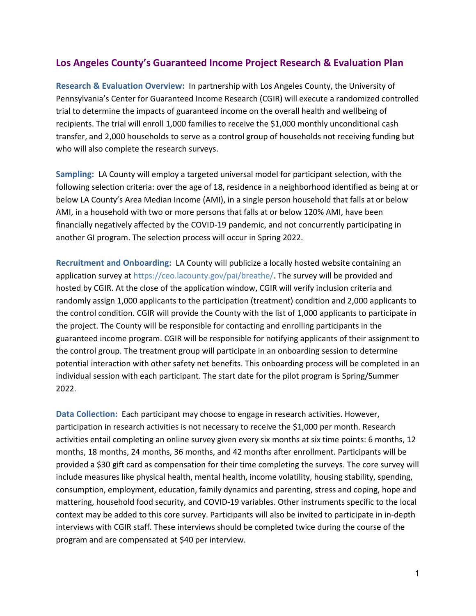## **Los Angeles County's Guaranteed Income Project Research & Evaluation Plan**

**Research & Evaluation Overview:** In partnership with Los Angeles County, the University of Pennsylvania's Center for Guaranteed Income Research (CGIR) will execute a randomized controlled trial to determine the impacts of guaranteed income on the overall health and wellbeing of recipients. The trial will enroll 1,000 families to receive the \$1,000 monthly unconditional cash transfer, and 2,000 households to serve as a control group of households not receiving funding but who will also complete the research surveys.

**Sampling:** LA County will employ a targeted universal model for participant selection, with the following selection criteria: over the age of 18, residence in a neighborhood identified as being at or below LA County's Area Median Income (AMI), in a single person household that falls at or below AMI, in a household with two or more persons that falls at or below 120% AMI, have been financially negatively affected by the COVID-19 pandemic, and not concurrently participating in another GI program. The selection process will occur in Spring 2022.

**Recruitment and Onboarding:** LA County will publicize a locally hosted website containing an application survey at https://ceo.lacounty.gov/pai/breathe/. The survey will be provided and hosted by CGIR. At the close of the application window, CGIR will verify inclusion criteria and randomly assign 1,000 applicants to the participation (treatment) condition and 2,000 applicants to the control condition. CGIR will provide the County with the list of 1,000 applicants to participate in the project. The County will be responsible for contacting and enrolling participants in the guaranteed income program. CGIR will be responsible for notifying applicants of their assignment to the control group. The treatment group will participate in an onboarding session to determine potential interaction with other safety net benefits. This onboarding process will be completed in an individual session with each participant. The start date for the pilot program is Spring/Summer 2022.

**Data Collection:** Each participant may choose to engage in research activities. However, participation in research activities is not necessary to receive the \$1,000 per month. Research activities entail completing an online survey given every six months at six time points: 6 months, 12 months, 18 months, 24 months, 36 months, and 42 months after enrollment. Participants will be provided a \$30 gift card as compensation for their time completing the surveys. The core survey will include measures like physical health, mental health, income volatility, housing stability, spending, consumption, employment, education, family dynamics and parenting, stress and coping, hope and mattering, household food security, and COVID-19 variables. Other instruments specific to the local context may be added to this core survey. Participants will also be invited to participate in in-depth interviews with CGIR staff. These interviews should be completed twice during the course of the program and are compensated at \$40 per interview.